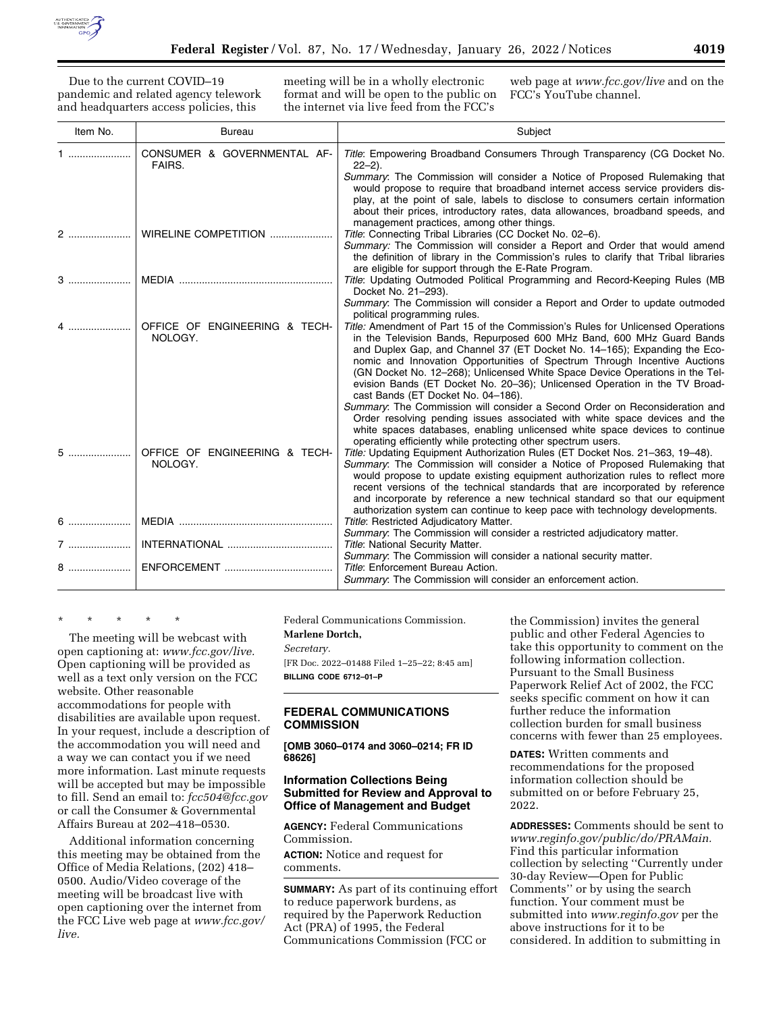

Due to the current COVID–19 pandemic and related agency telework and headquarters access policies, this

meeting will be in a wholly electronic format and will be open to the public on the internet via live feed from the FCC's

web page at *[www.fcc.gov/live](http://www.fcc.gov/live)* and on the FCC's YouTube channel.

| Item No. | <b>Bureau</b>                            | Subject                                                                                                                                                                                                                                                                                                                                                                                                                                                                                                                                                                                                                                                                                                                                                            |
|----------|------------------------------------------|--------------------------------------------------------------------------------------------------------------------------------------------------------------------------------------------------------------------------------------------------------------------------------------------------------------------------------------------------------------------------------------------------------------------------------------------------------------------------------------------------------------------------------------------------------------------------------------------------------------------------------------------------------------------------------------------------------------------------------------------------------------------|
| 1  1     | CONSUMER & GOVERNMENTAL AF-<br>FAIRS.    | Title: Empowering Broadband Consumers Through Transparency (CG Docket No.<br>$22 - 2$ ).                                                                                                                                                                                                                                                                                                                                                                                                                                                                                                                                                                                                                                                                           |
|          |                                          | Summary: The Commission will consider a Notice of Proposed Rulemaking that<br>would propose to require that broadband internet access service providers dis-<br>play, at the point of sale, labels to disclose to consumers certain information<br>about their prices, introductory rates, data allowances, broadband speeds, and                                                                                                                                                                                                                                                                                                                                                                                                                                  |
|          |                                          | management practices, among other things.                                                                                                                                                                                                                                                                                                                                                                                                                                                                                                                                                                                                                                                                                                                          |
| 2        | WIRELINE COMPETITION                     | Title: Connecting Tribal Libraries (CC Docket No. 02-6).<br>Summary: The Commission will consider a Report and Order that would amend<br>the definition of library in the Commission's rules to clarify that Tribal libraries<br>are eligible for support through the E-Rate Program.                                                                                                                                                                                                                                                                                                                                                                                                                                                                              |
| 3        |                                          | Title: Updating Outmoded Political Programming and Record-Keeping Rules (MB<br>Docket No. 21-293).                                                                                                                                                                                                                                                                                                                                                                                                                                                                                                                                                                                                                                                                 |
|          |                                          | Summary: The Commission will consider a Report and Order to update outmoded<br>political programming rules.                                                                                                                                                                                                                                                                                                                                                                                                                                                                                                                                                                                                                                                        |
|          | OFFICE OF ENGINEERING & TECH-<br>NOLOGY. | Title: Amendment of Part 15 of the Commission's Rules for Unlicensed Operations<br>in the Television Bands, Repurposed 600 MHz Band, 600 MHz Guard Bands<br>and Duplex Gap, and Channel 37 (ET Docket No. 14–165); Expanding the Eco-<br>nomic and Innovation Opportunities of Spectrum Through Incentive Auctions<br>(GN Docket No. 12-268); Unlicensed White Space Device Operations in the Tel-<br>evision Bands (ET Docket No. 20-36); Unlicensed Operation in the TV Broad-<br>cast Bands (ET Docket No. 04-186).<br>Summary: The Commission will consider a Second Order on Reconsideration and<br>Order resolving pending issues associated with white space devices and the<br>white spaces databases, enabling unlicensed white space devices to continue |
| 5        | OFFICE OF ENGINEERING & TECH-<br>NOLOGY. | operating efficiently while protecting other spectrum users.<br>Title: Updating Equipment Authorization Rules (ET Docket Nos. 21-363, 19-48).<br>Summary: The Commission will consider a Notice of Proposed Rulemaking that<br>would propose to update existing equipment authorization rules to reflect more<br>recent versions of the technical standards that are incorporated by reference<br>and incorporate by reference a new technical standard so that our equipment<br>authorization system can continue to keep pace with technology developments.                                                                                                                                                                                                      |
| $6$      |                                          | Ttitle: Restricted Adjudicatory Matter.                                                                                                                                                                                                                                                                                                                                                                                                                                                                                                                                                                                                                                                                                                                            |
|          |                                          | Summary: The Commission will consider a restricted adjudicatory matter.<br>Title: National Security Matter.                                                                                                                                                                                                                                                                                                                                                                                                                                                                                                                                                                                                                                                        |
| 8        |                                          | Summary: The Commission will consider a national security matter.<br>Title: Enforcement Bureau Action.<br>Summary: The Commission will consider an enforcement action.                                                                                                                                                                                                                                                                                                                                                                                                                                                                                                                                                                                             |

\* \* \* \* \*

The meeting will be webcast with open captioning at: *[www.fcc.gov/live.](http://www.fcc.gov/live)*  Open captioning will be provided as well as a text only version on the FCC website. Other reasonable accommodations for people with disabilities are available upon request. In your request, include a description of the accommodation you will need and a way we can contact you if we need more information. Last minute requests will be accepted but may be impossible to fill. Send an email to: *[fcc504@fcc.gov](mailto:fcc504@fcc.gov)*  or call the Consumer & Governmental Affairs Bureau at 202–418–0530.

Additional information concerning this meeting may be obtained from the Office of Media Relations, (202) 418– 0500. Audio/Video coverage of the meeting will be broadcast live with open captioning over the internet from the FCC Live web page at *[www.fcc.gov/](http://www.fcc.gov/live)  [live.](http://www.fcc.gov/live)* 

Federal Communications Commission.

#### **Marlene Dortch,**

*Secretary.* 

[FR Doc. 2022–01488 Filed 1–25–22; 8:45 am] **BILLING CODE 6712–01–P** 

# **FEDERAL COMMUNICATIONS COMMISSION**

**[OMB 3060–0174 and 3060–0214; FR ID 68626]** 

### **Information Collections Being Submitted for Review and Approval to Office of Management and Budget**

**AGENCY:** Federal Communications Commission.

**ACTION:** Notice and request for comments.

**SUMMARY:** As part of its continuing effort to reduce paperwork burdens, as required by the Paperwork Reduction Act (PRA) of 1995, the Federal Communications Commission (FCC or

the Commission) invites the general public and other Federal Agencies to take this opportunity to comment on the following information collection. Pursuant to the Small Business Paperwork Relief Act of 2002, the FCC seeks specific comment on how it can further reduce the information collection burden for small business concerns with fewer than 25 employees.

**DATES:** Written comments and recommendations for the proposed information collection should be submitted on or before February 25, 2022.

**ADDRESSES:** Comments should be sent to *[www.reginfo.gov/public/do/PRAMain.](http://www.reginfo.gov/public/do/PRAMain)*  Find this particular information collection by selecting ''Currently under 30-day Review—Open for Public Comments'' or by using the search function. Your comment must be submitted into *[www.reginfo.gov](http://www.reginfo.gov)* per the above instructions for it to be considered. In addition to submitting in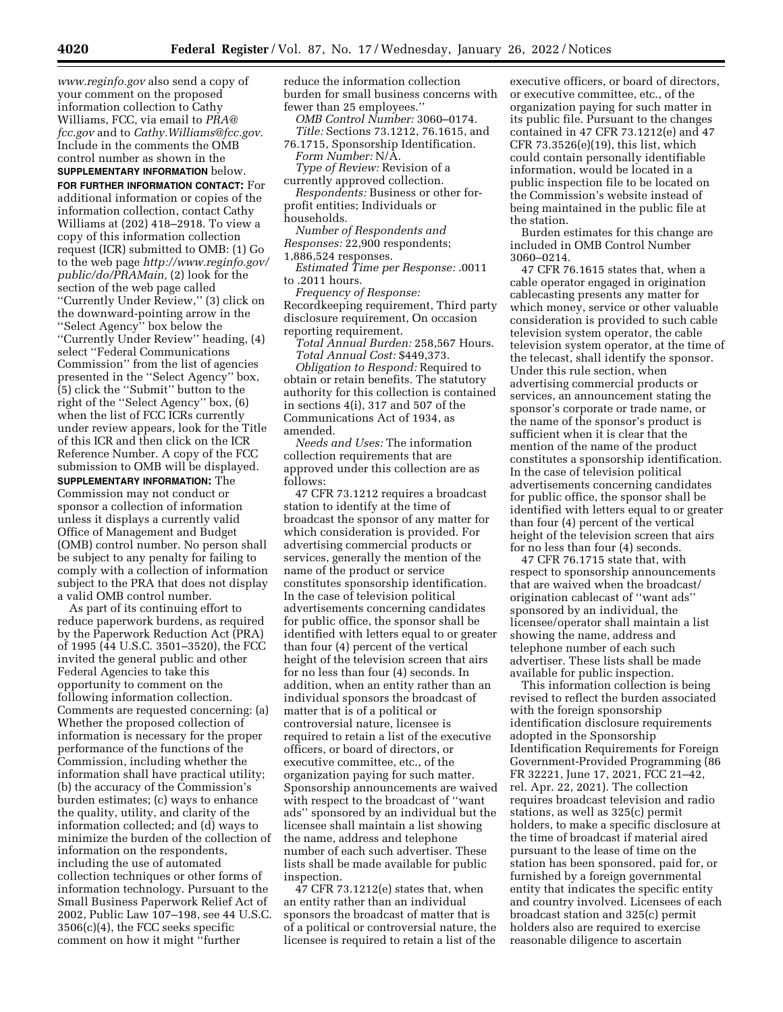*[www.reginfo.gov](http://www.reginfo.gov)* also send a copy of your comment on the proposed information collection to Cathy Williams, FCC, via email to *[PRA@](mailto:PRA@fcc.gov) [fcc.gov](mailto:PRA@fcc.gov)* and to *[Cathy.Williams@fcc.gov.](mailto:Cathy.Williams@fcc.gov)*  Include in the comments the OMB control number as shown in the **SUPPLEMENTARY INFORMATION** below.

**FOR FURTHER INFORMATION CONTACT:** For additional information or copies of the information collection, contact Cathy Williams at (202) 418–2918. To view a copy of this information collection request (ICR) submitted to OMB: (1) Go to the web page *[http://www.reginfo.gov/](http://www.reginfo.gov/public/do/PRAMain) [public/do/PRAMain,](http://www.reginfo.gov/public/do/PRAMain)* (2) look for the section of the web page called ''Currently Under Review,'' (3) click on the downward-pointing arrow in the ''Select Agency'' box below the ''Currently Under Review'' heading, (4) select ''Federal Communications Commission'' from the list of agencies presented in the ''Select Agency'' box, (5) click the ''Submit'' button to the right of the ''Select Agency'' box, (6) when the list of FCC ICRs currently under review appears, look for the Title of this ICR and then click on the ICR Reference Number. A copy of the FCC submission to OMB will be displayed.

**SUPPLEMENTARY INFORMATION:** The Commission may not conduct or sponsor a collection of information unless it displays a currently valid Office of Management and Budget (OMB) control number. No person shall be subject to any penalty for failing to comply with a collection of information subject to the PRA that does not display a valid OMB control number.

As part of its continuing effort to reduce paperwork burdens, as required by the Paperwork Reduction Act (PRA) of 1995 (44 U.S.C. 3501–3520), the FCC invited the general public and other Federal Agencies to take this opportunity to comment on the following information collection. Comments are requested concerning: (a) Whether the proposed collection of information is necessary for the proper performance of the functions of the Commission, including whether the information shall have practical utility; (b) the accuracy of the Commission's burden estimates; (c) ways to enhance the quality, utility, and clarity of the information collected; and (d) ways to minimize the burden of the collection of information on the respondents, including the use of automated collection techniques or other forms of information technology. Pursuant to the Small Business Paperwork Relief Act of 2002, Public Law 107–198, see 44 U.S.C. 3506(c)(4), the FCC seeks specific comment on how it might ''further

reduce the information collection burden for small business concerns with fewer than 25 employees.''

*OMB Control Number:* 3060–0174. *Title:* Sections 73.1212, 76.1615, and

76.1715, Sponsorship Identification. *Form Number:* N/A.

*Type of Review:* Revision of a

currently approved collection. *Respondents:* Business or other forprofit entities; Individuals or

households.

*Number of Respondents and Responses:* 22,900 respondents;

1,886,524 responses.

*Estimated Time per Response:* .0011 to .2011 hours.

*Frequency of Response:*  Recordkeeping requirement, Third party disclosure requirement, On occasion reporting requirement.

*Total Annual Burden:* 258,567 Hours. *Total Annual Cost:* \$449,373.

*Obligation to Respond:* Required to obtain or retain benefits. The statutory authority for this collection is contained in sections 4(i), 317 and 507 of the Communications Act of 1934, as amended.

*Needs and Uses:* The information collection requirements that are approved under this collection are as follows:

47 CFR 73.1212 requires a broadcast station to identify at the time of broadcast the sponsor of any matter for which consideration is provided. For advertising commercial products or services, generally the mention of the name of the product or service constitutes sponsorship identification. In the case of television political advertisements concerning candidates for public office, the sponsor shall be identified with letters equal to or greater than four (4) percent of the vertical height of the television screen that airs for no less than four (4) seconds. In addition, when an entity rather than an individual sponsors the broadcast of matter that is of a political or controversial nature, licensee is required to retain a list of the executive officers, or board of directors, or executive committee, etc., of the organization paying for such matter. Sponsorship announcements are waived with respect to the broadcast of ''want ads'' sponsored by an individual but the licensee shall maintain a list showing the name, address and telephone number of each such advertiser. These lists shall be made available for public inspection.

47 CFR 73.1212(e) states that, when an entity rather than an individual sponsors the broadcast of matter that is of a political or controversial nature, the licensee is required to retain a list of the

executive officers, or board of directors, or executive committee, etc., of the organization paying for such matter in its public file. Pursuant to the changes contained in 47 CFR 73.1212(e) and 47 CFR 73.3526(e)(19), this list, which could contain personally identifiable information, would be located in a public inspection file to be located on the Commission's website instead of being maintained in the public file at the station.

Burden estimates for this change are included in OMB Control Number 3060–0214.

47 CFR 76.1615 states that, when a cable operator engaged in origination cablecasting presents any matter for which money, service or other valuable consideration is provided to such cable television system operator, the cable television system operator, at the time of the telecast, shall identify the sponsor. Under this rule section, when advertising commercial products or services, an announcement stating the sponsor's corporate or trade name, or the name of the sponsor's product is sufficient when it is clear that the mention of the name of the product constitutes a sponsorship identification. In the case of television political advertisements concerning candidates for public office, the sponsor shall be identified with letters equal to or greater than four (4) percent of the vertical height of the television screen that airs for no less than four (4) seconds.

47 CFR 76.1715 state that, with respect to sponsorship announcements that are waived when the broadcast/ origination cablecast of ''want ads'' sponsored by an individual, the licensee/operator shall maintain a list showing the name, address and telephone number of each such advertiser. These lists shall be made available for public inspection.

This information collection is being revised to reflect the burden associated with the foreign sponsorship identification disclosure requirements adopted in the Sponsorship Identification Requirements for Foreign Government-Provided Programming (86 FR 32221, June 17, 2021, FCC 21–42, rel. Apr. 22, 2021). The collection requires broadcast television and radio stations, as well as 325(c) permit holders, to make a specific disclosure at the time of broadcast if material aired pursuant to the lease of time on the station has been sponsored, paid for, or furnished by a foreign governmental entity that indicates the specific entity and country involved. Licensees of each broadcast station and 325(c) permit holders also are required to exercise reasonable diligence to ascertain